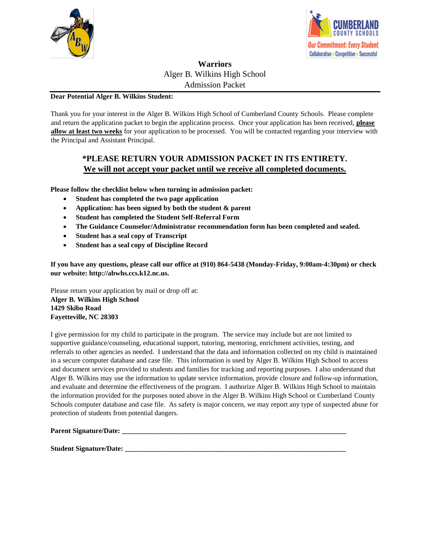



## **Warriors** Alger B. Wilkins High School Admission Packet

### **Dear Potential Alger B. Wilkins Student:**

Thank you for your interest in the Alger B. Wilkins High School of Cumberland County Schools. Please complete and return the application packet to begin the application process. Once your application has been received, **please allow at least two weeks** for your application to be processed. You will be contacted regarding your interview with the Principal and Assistant Principal.

# **\*PLEASE RETURN YOUR ADMISSION PACKET IN ITS ENTIRETY. We will not accept your packet until we receive all completed documents.**

**Please follow the checklist below when turning in admission packet:**

- **Student has completed the two page application**
- **Application: has been signed by both the student & parent**
- **Student has completed the Student Self-Referral Form**
- **The Guidance Counselor/Administrator recommendation form has been completed and sealed.**
- **Student has a seal copy of Transcript**
- **Student has a seal copy of Discipline Record**

**If you have any questions, please call our office at (910) 864-5438 (Monday-Friday, 9:00am-4:30pm) or check our website: http://abwhs.ccs.k12.nc.us.**

Please return your application by mail or drop off at: **Alger B. Wilkins High School 1429 Skibo Road Fayetteville, NC 28303**

I give permission for my child to participate in the program. The service may include but are not limited to supportive guidance/counseling, educational support, tutoring, mentoring, enrichment activities, testing, and referrals to other agencies as needed. I understand that the data and information collected on my child is maintained in a secure computer database and case file. This information is used by Alger B. Wilkins High School to access and document services provided to students and families for tracking and reporting purposes. I also understand that Alger B. Wilkins may use the information to update service information, provide closure and follow-up information, and evaluate and determine the effectiveness of the program. I authorize Alger B. Wilkins High School to maintain the information provided for the purposes noted above in the Alger B. Wilkins High School or Cumberland County Schools computer database and case file. As safety is major concern, we may report any type of suspected abuse for protection of students from potential dangers.

#### **Parent Signature/Date:**  $\blacksquare$

**Student Signature/Date: \_\_\_\_\_\_\_\_\_\_\_\_\_\_\_\_\_\_\_\_\_\_\_\_\_\_\_\_\_\_\_\_\_\_\_\_\_\_\_\_\_\_\_\_\_\_\_\_\_\_\_\_\_\_\_\_\_\_\_\_\_\_\_**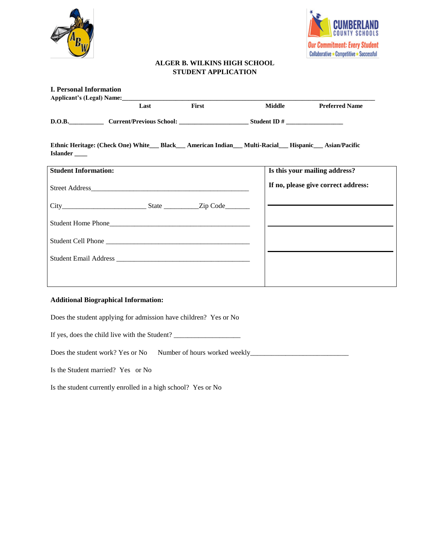



### **ALGER B. WILKINS HIGH SCHOOL STUDENT APPLICATION**

| <b>I. Personal Information</b>                                                                                                          |      |       |               |                                     |
|-----------------------------------------------------------------------------------------------------------------------------------------|------|-------|---------------|-------------------------------------|
|                                                                                                                                         |      |       |               |                                     |
|                                                                                                                                         | Last | First | <b>Middle</b> | <b>Preferred Name</b>               |
|                                                                                                                                         |      |       |               |                                     |
| Ethnic Heritage: (Check One) White___ Black___ American Indian___ Multi-Racial___ Hispanic___ Asian/Pacific<br>Islander <sub>____</sub> |      |       |               |                                     |
| <b>Student Information:</b>                                                                                                             |      |       |               | Is this your mailing address?       |
|                                                                                                                                         |      |       |               | If no, please give correct address: |
|                                                                                                                                         |      |       |               |                                     |
|                                                                                                                                         |      |       |               |                                     |
|                                                                                                                                         |      |       |               |                                     |
|                                                                                                                                         |      |       |               |                                     |
|                                                                                                                                         |      |       |               |                                     |
| <b>Additional Biographical Information:</b>                                                                                             |      |       |               |                                     |

Does the student applying for admission have children? Yes or No

If yes, does the child live with the Student? \_\_\_\_\_\_\_\_\_\_\_\_\_\_\_\_\_\_\_\_\_\_\_\_\_\_\_\_\_\_\_\_\_\_\_

Does the student work? Yes or No Number of hours worked weekly\_\_\_\_\_\_\_\_\_\_\_\_\_\_\_\_\_\_\_\_\_\_\_\_\_\_\_\_

Is the Student married? Yes or No

Is the student currently enrolled in a high school? Yes or No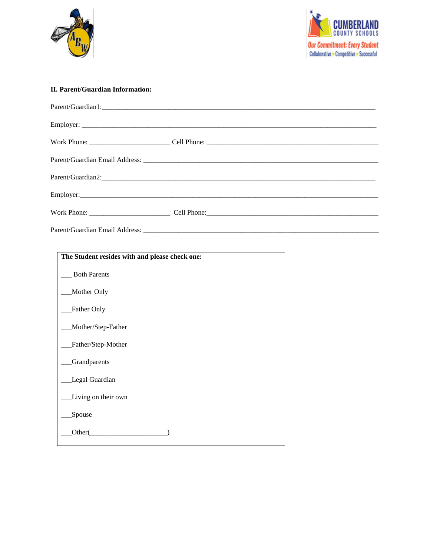



### **II. Parent/Guardian Information:**

| Parent/Guardian1: |
|-------------------|
|                   |
|                   |
|                   |
|                   |
|                   |
|                   |
|                   |

| The Student resides with and please check one: |
|------------------------------------------------|
| <b>Both Parents</b>                            |
| Mother Only                                    |
| Father Only                                    |
| Mother/Step-Father                             |
| Father/Step-Mother                             |
| Grandparents                                   |
| Legal Guardian                                 |
| Living on their own                            |
| Spouse                                         |
| Other(                                         |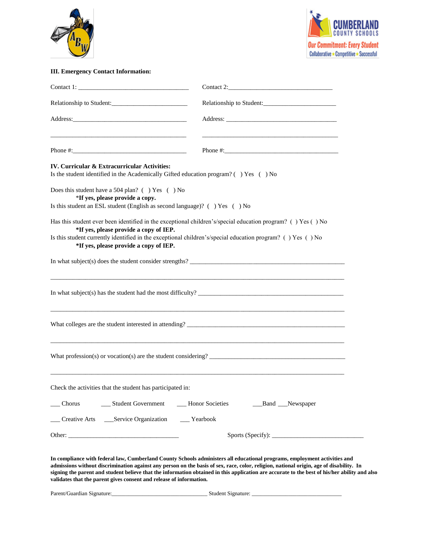



### **III. Emergency Contact Information:**

|                                                                                                                                                                                                                                                                                                               | Relationship to Student:                                                                                                                                                                                                                                                                                                                                                                                              |  |  |  |  |
|---------------------------------------------------------------------------------------------------------------------------------------------------------------------------------------------------------------------------------------------------------------------------------------------------------------|-----------------------------------------------------------------------------------------------------------------------------------------------------------------------------------------------------------------------------------------------------------------------------------------------------------------------------------------------------------------------------------------------------------------------|--|--|--|--|
|                                                                                                                                                                                                                                                                                                               |                                                                                                                                                                                                                                                                                                                                                                                                                       |  |  |  |  |
|                                                                                                                                                                                                                                                                                                               |                                                                                                                                                                                                                                                                                                                                                                                                                       |  |  |  |  |
| IV. Curricular & Extracurricular Activities:<br>Is the student identified in the Academically Gifted education program? () Yes () No                                                                                                                                                                          |                                                                                                                                                                                                                                                                                                                                                                                                                       |  |  |  |  |
| Does this student have a 504 plan? () Yes () No<br>*If yes, please provide a copy.<br>Is this student an ESL student (English as second language)? ( ) Yes ( ) No                                                                                                                                             |                                                                                                                                                                                                                                                                                                                                                                                                                       |  |  |  |  |
| Has this student ever been identified in the exceptional children's/special education program? () Yes () No<br>*If yes, please provide a copy of IEP.<br>Is this student currently identified in the exceptional children's/special education program? () Yes () No<br>*If yes, please provide a copy of IEP. |                                                                                                                                                                                                                                                                                                                                                                                                                       |  |  |  |  |
| In what subject(s) does the student consider strengths?                                                                                                                                                                                                                                                       |                                                                                                                                                                                                                                                                                                                                                                                                                       |  |  |  |  |
|                                                                                                                                                                                                                                                                                                               |                                                                                                                                                                                                                                                                                                                                                                                                                       |  |  |  |  |
|                                                                                                                                                                                                                                                                                                               | <u> 1989 - Andrea Santa Andrea Andrea Andrea Andrea Andrea Andrea Andrea Andrea Andrea Andrea Andrea Andrea Andr</u>                                                                                                                                                                                                                                                                                                  |  |  |  |  |
|                                                                                                                                                                                                                                                                                                               | What profession(s) or vocation(s) are the student considering?                                                                                                                                                                                                                                                                                                                                                        |  |  |  |  |
| Check the activities that the student has participated in:                                                                                                                                                                                                                                                    |                                                                                                                                                                                                                                                                                                                                                                                                                       |  |  |  |  |
| __ Student Government ____ Honor Societies<br>Chorus                                                                                                                                                                                                                                                          | __Band __Newspaper                                                                                                                                                                                                                                                                                                                                                                                                    |  |  |  |  |
| __ Creative Arts ___ Service Organization ___ Yearbook                                                                                                                                                                                                                                                        |                                                                                                                                                                                                                                                                                                                                                                                                                       |  |  |  |  |
|                                                                                                                                                                                                                                                                                                               |                                                                                                                                                                                                                                                                                                                                                                                                                       |  |  |  |  |
| validates that the parent gives consent and release of information.                                                                                                                                                                                                                                           | In compliance with federal law, Cumberland County Schools administers all educational programs, employment activities and<br>admissions without discrimination against any person on the basis of sex, race, color, religion, national origin, age of disability. In<br>signing the parent and student believe that the information obtained in this application are accurate to the best of his/her ability and also |  |  |  |  |
|                                                                                                                                                                                                                                                                                                               |                                                                                                                                                                                                                                                                                                                                                                                                                       |  |  |  |  |
|                                                                                                                                                                                                                                                                                                               |                                                                                                                                                                                                                                                                                                                                                                                                                       |  |  |  |  |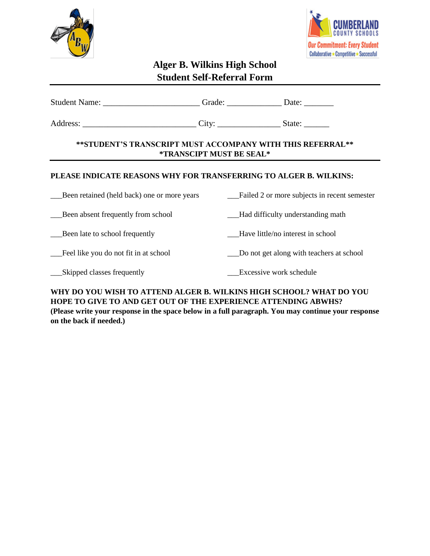



# **Alger B. Wilkins High School Student Self-Referral Form**

| Student Name: _____________________________Grade: _________________Date: _________     |  |                                              |  |  |  |
|----------------------------------------------------------------------------------------|--|----------------------------------------------|--|--|--|
|                                                                                        |  |                                              |  |  |  |
| **STUDENT'S TRANSCRIPT MUST ACCOMPANY WITH THIS REFERRAL**<br>*TRANSCIPT MUST BE SEAL* |  |                                              |  |  |  |
| PLEASE INDICATE REASONS WHY FOR TRANSFERRING TO ALGER B. WILKINS:                      |  |                                              |  |  |  |
| Been retained (held back) one or more years                                            |  | Failed 2 or more subjects in recent semester |  |  |  |
| Been absent frequently from school                                                     |  | - Had difficulty understanding math          |  |  |  |
| Been late to school frequently                                                         |  | Have little/no interest in school            |  |  |  |
| Feel like you do not fit in at school                                                  |  | Do not get along with teachers at school     |  |  |  |
| Skipped classes frequently                                                             |  | Excessive work schedule                      |  |  |  |

# **WHY DO YOU WISH TO ATTEND ALGER B. WILKINS HIGH SCHOOL? WHAT DO YOU HOPE TO GIVE TO AND GET OUT OF THE EXPERIENCE ATTENDING ABWHS?**

**(Please write your response in the space below in a full paragraph. You may continue your response on the back if needed.)**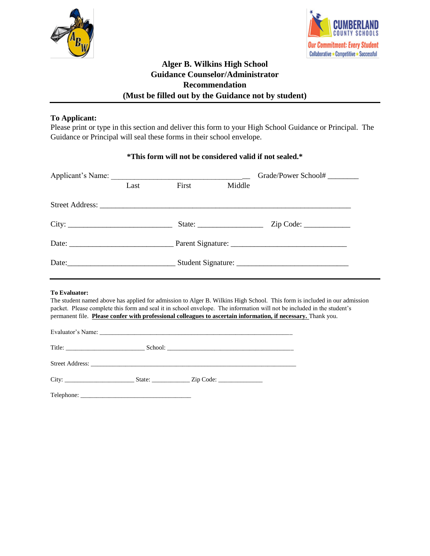



# **Alger B. Wilkins High School Guidance Counselor/Administrator Recommendation (Must be filled out by the Guidance not by student)**

## **To Applicant:**

Please print or type in this section and deliver this form to your High School Guidance or Principal. The Guidance or Principal will seal these forms in their school envelope.

### **\*This form will not be considered valid if not sealed.\***

|                      |      |       |        | Grade/Power School#                                                                                                                                                                                                                                                                                                                                                   |
|----------------------|------|-------|--------|-----------------------------------------------------------------------------------------------------------------------------------------------------------------------------------------------------------------------------------------------------------------------------------------------------------------------------------------------------------------------|
|                      | Last | First | Middle |                                                                                                                                                                                                                                                                                                                                                                       |
|                      |      |       |        |                                                                                                                                                                                                                                                                                                                                                                       |
| City:                |      |       |        |                                                                                                                                                                                                                                                                                                                                                                       |
|                      |      |       |        |                                                                                                                                                                                                                                                                                                                                                                       |
|                      |      |       |        |                                                                                                                                                                                                                                                                                                                                                                       |
| <b>To Evaluator:</b> |      |       |        | The student named above has applied for admission to Alger B. Wilkins High School. This form is included in our admission<br>packet. Please complete this form and seal it in school envelope. The information will not be included in the student's<br>permanent file. Please confer with professional colleagues to ascertain information, if necessary. Thank you. |
|                      |      |       |        |                                                                                                                                                                                                                                                                                                                                                                       |
|                      |      |       |        |                                                                                                                                                                                                                                                                                                                                                                       |
|                      |      |       |        |                                                                                                                                                                                                                                                                                                                                                                       |
|                      |      |       |        |                                                                                                                                                                                                                                                                                                                                                                       |
|                      |      |       |        |                                                                                                                                                                                                                                                                                                                                                                       |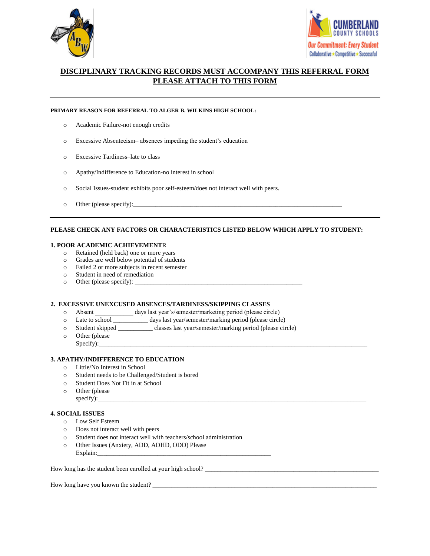



### **DISCIPLINARY TRACKING RECORDS MUST ACCOMPANY THIS REFERRAL FORM PLEASE ATTACH TO THIS FORM**

#### **PRIMARY REASON FOR REFERRAL TO ALGER B. WILKINS HIGH SCHOOL:**

- o Academic Failure-not enough credits
- o Excessive Absenteeism– absences impeding the student's education
- o Excessive Tardiness–late to class
- o Apathy/Indifference to Education-no interest in school
- o Social Issues-student exhibits poor self-esteem/does not interact well with peers.
- o Other (please specify):

#### **PLEASE CHECK ANY FACTORS OR CHARACTERISTICS LISTED BELOW WHICH APPLY TO STUDENT:**

#### **1. POOR ACADEMIC ACHIEVEMENT**R

- o Retained (held back) one or more years
- o Grades are well below potential of students
- o Failed 2 or more subjects in recent semester
- o Student in need of remediation
- $\circ$  Other (please specify):  $\_\_$

#### **2. EXCESSIVE UNEXCUSED ABSENCES/TARDINESS/SKIPPING CLASSES**

- o Absent \_\_\_\_\_\_\_\_\_\_\_\_ days last year's/semester/marketing period (please circle)
- o Late to school \_\_\_\_\_\_\_\_\_\_\_ days last year/semester/marking period (please circle)
- o Student skipped \_\_\_\_\_\_\_\_\_\_\_ classes last year/semester/marking period (please circle)
- o Other (please Specify):\_\_\_\_\_\_\_\_\_\_\_\_\_\_\_\_\_\_\_\_\_\_\_\_\_\_\_\_\_\_\_\_\_\_\_\_\_\_\_\_\_\_\_\_\_\_\_\_\_\_\_\_\_\_\_\_\_\_\_\_\_\_\_\_\_\_\_\_\_\_\_\_\_\_\_\_\_\_\_\_\_\_\_\_\_

#### **3. APATHY/INDIFFERENCE TO EDUCATION**

- o Little/No Interest in School
- o Student needs to be Challenged/Student is bored
- o Student Does Not Fit in at School
- o Other (please specify):\_\_\_\_\_\_\_\_\_\_\_\_\_\_\_\_\_\_\_\_\_\_\_\_\_\_\_\_\_\_\_\_\_\_\_\_\_\_\_\_\_\_\_\_\_\_\_\_\_\_\_\_\_\_\_\_\_\_\_\_\_\_\_\_\_\_\_\_\_\_\_\_\_\_\_\_\_\_\_\_\_\_\_\_\_

#### **4. SOCIAL ISSUES**

- o Low Self Esteem
- o Does not interact well with peers
- o Student does not interact well with teachers/school administration
- o Other Issues (Anxiety, ADD, ADHD, ODD) Please Explain:

How long has the student been enrolled at your high school?

How long have you known the student? \_\_\_\_\_\_\_\_\_\_\_\_\_\_\_\_\_\_\_\_\_\_\_\_\_\_\_\_\_\_\_\_\_\_\_\_\_\_\_\_\_\_\_\_\_\_\_\_\_\_\_\_\_\_\_\_\_\_\_\_\_\_\_\_\_\_\_\_\_\_\_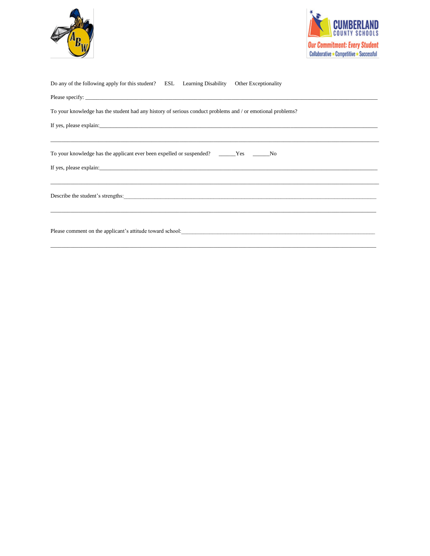



| Do any of the following apply for this student? ESL Learning Disability Other Exceptionality                                 |
|------------------------------------------------------------------------------------------------------------------------------|
|                                                                                                                              |
| To your knowledge has the student had any history of serious conduct problems and / or emotional problems?                   |
|                                                                                                                              |
| To your knowledge has the applicant ever been expelled or suspended? _______Yes _______No                                    |
|                                                                                                                              |
|                                                                                                                              |
| Please comment on the applicant's attitude toward school:<br><u>Lease comment on the applicant's attitude</u> toward school: |